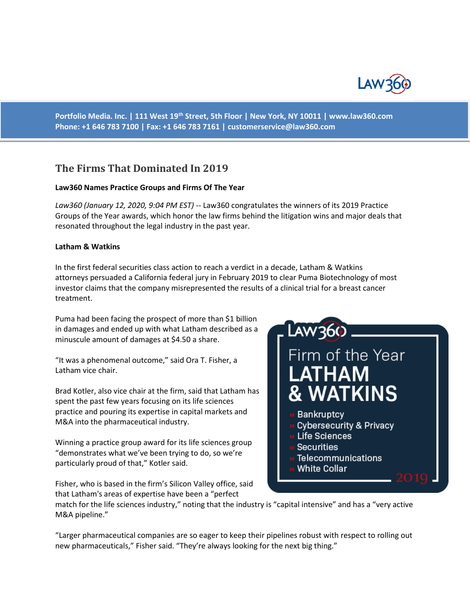

**Portfolio Media. Inc. | 111 West 19th Street, 5th Floor | New York, NY 10011 | www.law360.com Phone: +1 646 783 7100 | Fax: +1 646 783 7161 | [customerservice@law360.com](mailto:customerservice@law360.com)**

## **The Firms That Dominated In 2019**

#### **Law360 Names Practice Groups and Firms Of The Year**

*Law360 (January 12, 2020, 9:04 PM EST)* -- Law360 congratulates the winners of its 2019 Practice Groups of the Year awards, which honor the law firms behind the litigation wins and major deals that resonated throughout the legal industry in the past year.

#### **Latham & Watkins**

In the first federal securities class action to reach a verdict in a decade, Latham & Watkins attorneys persuaded a California federal jury in February 2019 to clear Puma Biotechnology of most investor claims that the company misrepresented the results of a clinical trial for a breast cancer treatment.

Puma had been facing the prospect of more than \$1 billion in damages and ended up with what Latham described as a minuscule amount of damages at \$4.50 a share.

"It was a phenomenal outcome," said Ora T. Fisher, a Latham vice chair.

Brad Kotler, also vice chair at the firm, said that Latham has spent the past few years focusing on its life sciences practice and pouring its expertise in capital markets and M&A into the pharmaceutical industry.

Winning a practice group award for its life sciences group "demonstrates what we've been trying to do, so we're particularly proud of that," Kotler said.

Fisher, who is based in the firm's Silicon Valley office, said that Latham's areas of expertise have been a "perfect

# LAW360 Firm of the Year **LATHAM & WATKINS**

### **Bankruptcy**

- **Cybersecurity & Privacy**
- » Life Sciences
- **Securities**
- Telecommunications
- **White Collar**

match for the life sciences industry," noting that the industry is "capital intensive" and has a "very active M&A pipeline."

"Larger pharmaceutical companies are so eager to keep their pipelines robust with respect to rolling out new pharmaceuticals," Fisher said. "They're always looking for the next big thing."